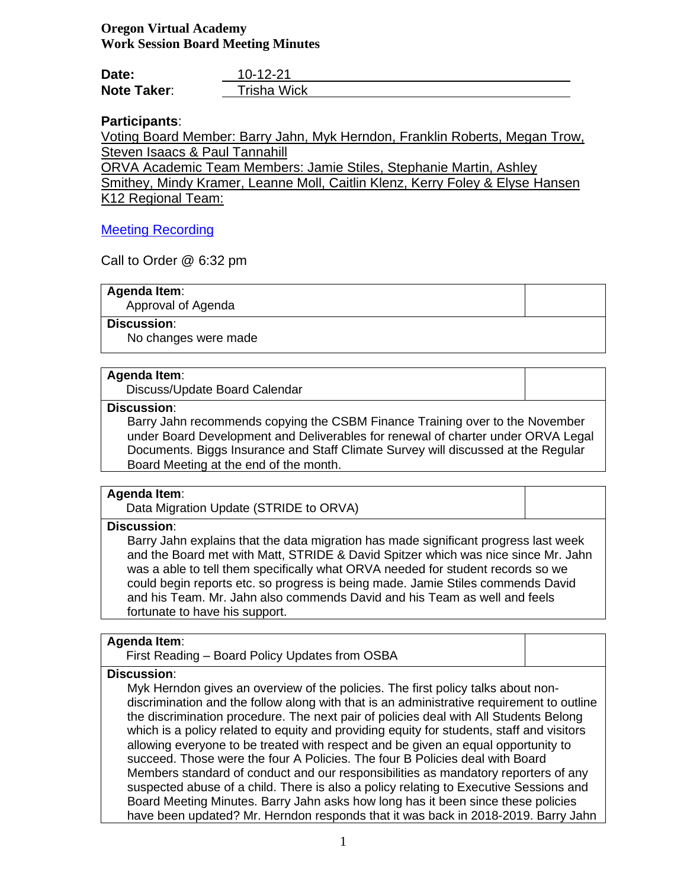# **Oregon Virtual Academy Work Session Board Meeting Minutes**

| Date:              | $10 - 12 - 21$ |
|--------------------|----------------|
| <b>Note Taker:</b> | Trisha Wick    |

# **Participants**:

Voting Board Member: Barry Jahn, Myk Herndon, Franklin Roberts, Megan Trow, Steven Isaacs & Paul Tannahill

ORVA Academic Team Members: Jamie Stiles, Stephanie Martin, Ashley Smithey, Mindy Kramer, Leanne Moll, Caitlin Klenz, Kerry Foley & Elyse Hansen K12 Regional Team:

# [Meeting Recording](https://k12inc-my.sharepoint.com/:v:/g/personal/twick_oregonva_org/EU85oJzzDx1PqoRGJORJMkABlRbnu8eByeJQ7dmfMBwbQg)

Call to Order @ 6:32 pm

# **Agenda Item**:

Approval of Agenda

# **Discussion**:

No changes were made

### **Agenda Item**:

Discuss/Update Board Calendar

# **Discussion**:

Barry Jahn recommends copying the CSBM Finance Training over to the November under Board Development and Deliverables for renewal of charter under ORVA Legal Documents. Biggs Insurance and Staff Climate Survey will discussed at the Regular Board Meeting at the end of the month.

# **Agenda Item**:

Data Migration Update (STRIDE to ORVA)

#### **Discussion**:

Barry Jahn explains that the data migration has made significant progress last week and the Board met with Matt, STRIDE & David Spitzer which was nice since Mr. Jahn was a able to tell them specifically what ORVA needed for student records so we could begin reports etc. so progress is being made. Jamie Stiles commends David and his Team. Mr. Jahn also commends David and his Team as well and feels fortunate to have his support.

# **Agenda Item**:

First Reading – Board Policy Updates from OSBA

# **Discussion**:

Myk Herndon gives an overview of the policies. The first policy talks about nondiscrimination and the follow along with that is an administrative requirement to outline the discrimination procedure. The next pair of policies deal with All Students Belong which is a policy related to equity and providing equity for students, staff and visitors allowing everyone to be treated with respect and be given an equal opportunity to succeed. Those were the four A Policies. The four B Policies deal with Board Members standard of conduct and our responsibilities as mandatory reporters of any suspected abuse of a child. There is also a policy relating to Executive Sessions and Board Meeting Minutes. Barry Jahn asks how long has it been since these policies have been updated? Mr. Herndon responds that it was back in 2018-2019. Barry Jahn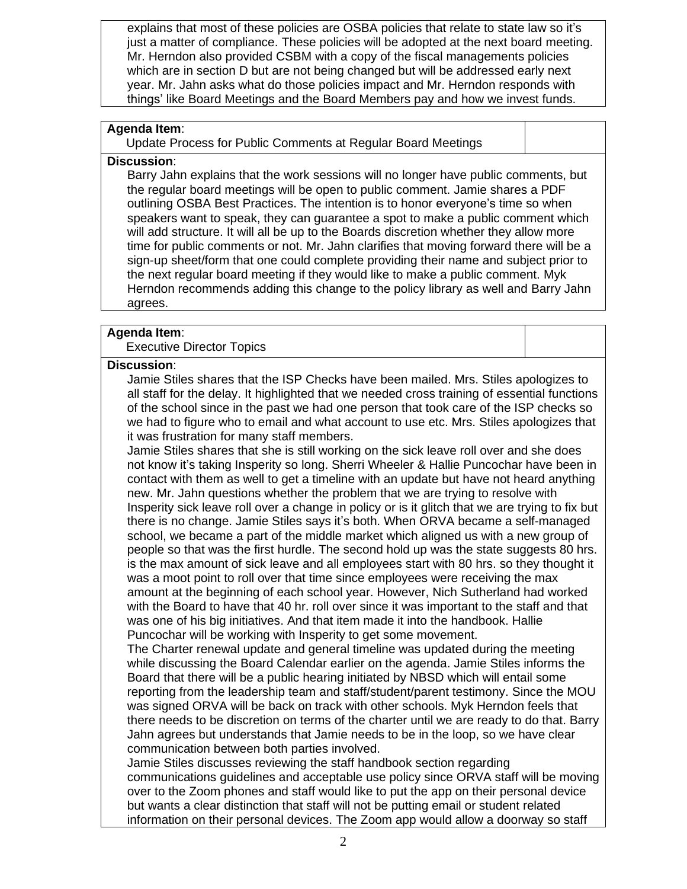explains that most of these policies are OSBA policies that relate to state law so it's just a matter of compliance. These policies will be adopted at the next board meeting. Mr. Herndon also provided CSBM with a copy of the fiscal managements policies which are in section D but are not being changed but will be addressed early next year. Mr. Jahn asks what do those policies impact and Mr. Herndon responds with things' like Board Meetings and the Board Members pay and how we invest funds.

# **Agenda Item**:

Update Process for Public Comments at Regular Board Meetings

# **Discussion**:

Barry Jahn explains that the work sessions will no longer have public comments, but the regular board meetings will be open to public comment. Jamie shares a PDF outlining OSBA Best Practices. The intention is to honor everyone's time so when speakers want to speak, they can guarantee a spot to make a public comment which will add structure. It will all be up to the Boards discretion whether they allow more time for public comments or not. Mr. Jahn clarifies that moving forward there will be a sign-up sheet/form that one could complete providing their name and subject prior to the next regular board meeting if they would like to make a public comment. Myk Herndon recommends adding this change to the policy library as well and Barry Jahn agrees.

# **Agenda Item**:

Executive Director Topics

# **Discussion**:

Jamie Stiles shares that the ISP Checks have been mailed. Mrs. Stiles apologizes to all staff for the delay. It highlighted that we needed cross training of essential functions of the school since in the past we had one person that took care of the ISP checks so we had to figure who to email and what account to use etc. Mrs. Stiles apologizes that it was frustration for many staff members.

Jamie Stiles shares that she is still working on the sick leave roll over and she does not know it's taking Insperity so long. Sherri Wheeler & Hallie Puncochar have been in contact with them as well to get a timeline with an update but have not heard anything new. Mr. Jahn questions whether the problem that we are trying to resolve with Insperity sick leave roll over a change in policy or is it glitch that we are trying to fix but there is no change. Jamie Stiles says it's both. When ORVA became a self-managed school, we became a part of the middle market which aligned us with a new group of people so that was the first hurdle. The second hold up was the state suggests 80 hrs. is the max amount of sick leave and all employees start with 80 hrs. so they thought it was a moot point to roll over that time since employees were receiving the max amount at the beginning of each school year. However, Nich Sutherland had worked with the Board to have that 40 hr. roll over since it was important to the staff and that was one of his big initiatives. And that item made it into the handbook. Hallie Puncochar will be working with Insperity to get some movement.

The Charter renewal update and general timeline was updated during the meeting while discussing the Board Calendar earlier on the agenda. Jamie Stiles informs the Board that there will be a public hearing initiated by NBSD which will entail some reporting from the leadership team and staff/student/parent testimony. Since the MOU was signed ORVA will be back on track with other schools. Myk Herndon feels that there needs to be discretion on terms of the charter until we are ready to do that. Barry Jahn agrees but understands that Jamie needs to be in the loop, so we have clear communication between both parties involved.

Jamie Stiles discusses reviewing the staff handbook section regarding communications guidelines and acceptable use policy since ORVA staff will be moving over to the Zoom phones and staff would like to put the app on their personal device but wants a clear distinction that staff will not be putting email or student related information on their personal devices. The Zoom app would allow a doorway so staff